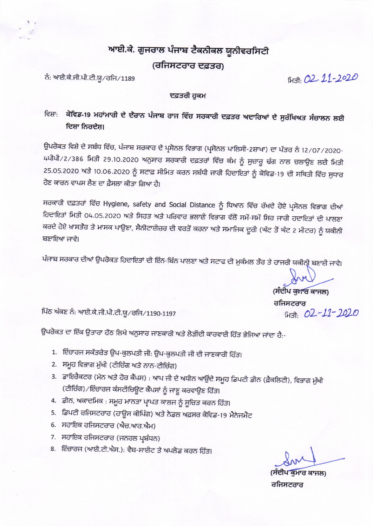## ਆਈ.ਕੇ. ਗੁਜਰਾਲ ਪੰਜਾਬ ਟੈਕਨੀਕਲ ਯੂਨੀਵਰਸਿਟੀ

(ਰਜਿਸਟਰਾਰ ਦਫ਼ਤਰ)

ਨੰ: ਆਈ.ਕੇ.ਜੀ.ਪੀ.ਟੀ.ਯੂ/ਰਜਿ/1189

FH31: 02-11-2020

### ਦਫ਼ਤਰੀ ਹੁਕਮ

## ਵਿਸ਼ਾ: ਕੋਵਿਡ-19 ਮਹਾਂਮਾਰੀ ਦੇ ਦੌਰਾਨ ਪੰਜਾਬ ਰਾਜ ਵਿੱਚ ਸਰਕਾਰੀ ਦਫ਼ਤਰ ਅਦਾਰਿਆਂ ਦੇ ਸੁਰੱਖਿਅਤ ਸੰਚਾਲਨ ਲਈ ਦਿਸ਼ਾ ਨਿਰਦੇਸ਼।

ਉਪਰੋਕਤ ਵਿਸ਼ੇ ਦੇ ਸਬੰਧ ਵਿੱਚ, ਪੰਜਾਬ ਸਰਕਾਰ ਦੇ ਪ੍ਰਸੋਨਲ ਵਿਭਾਗ (ਪ੍ਰਸੋਨਲ ਪਾਲਿਸੀ-2ਸ਼ਾਖਾ) ਦਾ ਪੱਤਰ ਨੰ 12/07/2020-4ਪੀਪੀ/2/386 ਮਿਤੀ 29.10.2020 ਅਨੁਸਾਰ ਸਰਕਾਰੀ ਦਫ਼ਤਰਾਂ ਵਿੱਚ ਕੰਮ ਨੂੰ ਸੁਚਾਰੂ ਢੰਗ ਨਾਲ ਚਲਾਉਣ ਲਈ ਮਿਤੀ 25.05.2020 ਅਤੇ 10.06.2020 ਨੂੰ ਸਟਾਫ਼ ਸੀਮਿਤ ਕਰਨ ਸਬੰਧੀ ਜਾਰੀ ਹਿਦਾਇਤਾਂ ਨੂੰ ਕੋਵਿਡ-19 ਦੀ ਸਥਿਤੀ ਵਿੱਚ ਸੁਧਾਰ ਹੋਣ ਕਾਰਨ ਵਾਪਸ ਲੈਣ ਦਾ ਫੈਸਲਾ ਕੀਤਾ ਗਿਆ ਹੈ।

ਸਰਕਾਰੀ ਦਫ਼ਤਰਾਂ ਵਿੱਚ Hygiene, safety and Social Distance ਨੂੰ ਧਿਆਨ ਵਿੱਚ ਰੱਖਦੇ ਹੋਏ ਪ੍ਰਸੋਨਲ ਵਿਭਾਗ ਦੀਆਂ ਹਿਦਾਇਤਾਂ ਮਿਤੀ 04.05.2020 ਅਤੇ ਸਿਹਤ ਅਤੇ ਪਰਿਵਾਰ ਭਲਾਈ ਵਿਭਾਗ ਵੱਲੋਂ ਸਮੇਂ-ਸਮੇਂ ਸਿਰ ਜਾਰੀ ਹਦਾਇਤਾਂ ਦੀ ਪਾਲਣਾ ਕਰਦੇ ਹੋਏ ਖਾਸਤੰਰ ਤੇ ਮਾਸਕ ਪਾਉਣਾ, ਸੈਨੀਟਾਈਜ਼ਰ ਦੀ ਵਰਤੋਂ ਕਰਨਾ ਅਤੇ ਸਮਾਜਿਕ ਦੂਰੀ (ਘੱਟ ਤੋਂ ਘੱਟ 2 ਮੀਟਰ) ਨੂੰ ਯਕੀਨੀ ਬਣਾਇਆ ਜਾਵੇ।

ਪੰਜਾਬ ਸਰਕਾਰ ਦੀਆਂ ਉਪਰੋਕਤ ਹਿਦਾਇਤਾਂ ਦੀ ਇੰਨ-ਬਿੰਨ ਪਾਲਣਾ ਅਤੇ ਸਟਾਫ ਦੀ ਮੁਕੰਮਲ ਤੰਰ ਤੇ ਹਾਜਰੀ ਯਕੀਨ੍ਰੀ ਬਣਾਈ ਜਾਵੇ।

(ਸੰਦੀਪ ਕੁਮਾਰ ਕਾਜਲ) ਰਜਿਸਟਰਾਰ ਮਿਤੀ: 02-11-2020

ਪਿੱਠ ਅੰਕਣ ਨੰ: ਆਈ.ਕੇ.ਜੀ.ਪੀ.ਟੀ.ਯੂ/ਰਜਿ/1190-1197

ਉਪਰੋਕਤ ਦਾ ਇੱਕ ਉਤਾਰਾ ਹੇਂਠ ਲਿਖੇ ਅਨੁਸਾਰ ਜਾਣਕਾਰੀ ਅਤੇ ਲੋੜੀਂਦੀ ਕਾਰਵਾਈ ਹਿੱਤ ਭੇਜਿਆ ਜਾਂਦਾ ਹੈ:-

- 1. ਇੰਚਾਰਜ ਸਕੱਤਰੇਤ ਉਪ-ਕੁਲਪਤੀ ਜੀ: ਉਪ-ਕੁਲਪਤੀ ਜੀ ਦੀ ਜਾਣਕਾਰੀ ਹਿੱਤ।
- 2. ਸਮੂਹ ਵਿਭਾਗ ਮੁੱਖੀ (ਟੀਚਿੰਗ ਅਤੇ ਨਾਨ-ਟੀਚਿੰਗ)
- 3. ਡਾਇਰੈਕਟਰ (ਮੇਨ ਅਤੇ ਹੋਰ ਕੈਂਪਸ) : ਆਪ ਜੀ ਦੇ ਅਧੀਨ ਆਉਂਦੇ ਸਮੂਹ ਡਿਪਟੀ ਡੀਨ (ਫ਼ੈਕਲਿਟੀ), ਵਿਭਾਗ ਮੁੱਖੀ (ਟੀਚਿੰਗ) ⁄ ਇੰਚਾਰਜ ਕੰਸਟੀਚਿਊਟ ਕੈਂਪਸਾਂ ਨੂੰ ਜਾਣੂ ਕਰਵਾਉਣ ਹਿੱਤ।
- 4. ਡੀਨ, ਅਕਾਦਮਿਕ : ਸਮੂਹ ਮਾਨਤਾ ਪ੍ਰਾਪਤ ਕਾਲਜ ਨੂੰ ਸੂਚਿਤ ਕਰਨ ਹਿੱਤ।
- 5. ਡਿਪਟੀ ਰਜਿਸਟਰਾਰ (ਹਾਊਸ ਕੀਪਿੰਗ) ਅਤੇ ਨੋਡਲ ਅਫ਼ਸਰ ਕੋਵਿਡ-19 ਮੈਨੇਜਮੈਂਟ
- 6. ਸਹਾਇਕ ਰਜਿਸਟਰਾਰ (ਐਚ.ਆਰ.ਐਮ)
- 7. ਸਹਾਇਕ ਰਜਿਸਟਰਾਰ (ਜਨਰਲ ਪ੍ਰਬੰਧਨ)
- 8. ਇੰਚਾਰਜ (ਆਈ.ਟੀ.ਐਸ.): ਵੈਬ-ਸਾਈਟ ਤੇ ਅਪਲੋਡ ਕਰਨ ਹਿੱਤ।

ਰ ਕਾਜਲ) ਰਜਿਸਟਰਾਰ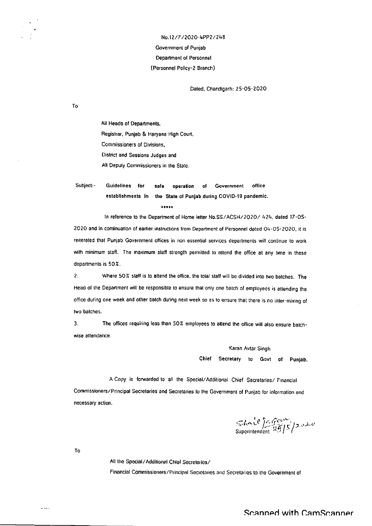## No.12/7/2020-4PP2/248 Government of Punjab **Department of Personnel** (Personnel Policy-2 Branch)

Dated, Chandigarh: 25-05-2020

To

All Heads of Departments, Registrar, Punjab & Haryana High Court, Commissioners of Divisions, District and Sessions Judges and All Deputy Commissioners in the State.

Subject:-Guidelines for operation Government office safe of establishments in the State of Punjab during COVID-19 pandemic.

.....

In reference to the Department of Home letter No.SS/ACSH/2020/ 424, dated 17-05-2020 and in continuation of earlier instructions from Department of Personnel dated Q4-05-2020, it is reiterated that Punjab Government offices in non essential services departments will continue to work with minimum staff. The maximum staff strength permitted to attend the office at any time in these departments is 50%.

Where 50% staff is to attend the office, the total staff will be divided into two batches. The  $\overline{2}$ . Head of the Department will be responsible to ensure that only one batch of employees is attending the office during one week and other batch during next week so as to ensure that there is no inter-mixing of two batches.

The offices requiring less than 50% employees to attend the office will also ensure batch- $\overline{3}$ . wise attendance.

> Karan Avtar Singh Chief Secretary to Govt of Punjab.

A Copy is forwarded to all the Special/Additional Chief Secretaries/ Financial Commissioners/Principal Secretaries and Secretaries to the Government of Punjab for information and necessary action.

 $She^{i\theta}$   $\frac{f_{\alpha}^{new}}{29/5}$   $\frac{7.020}{29/5}$ 

To

 $\sim$   $\sim$ 

All the Special/Additional Chief Secretaries/

Financial Commissioners/Principal Secretaries and Secretaries to the Government of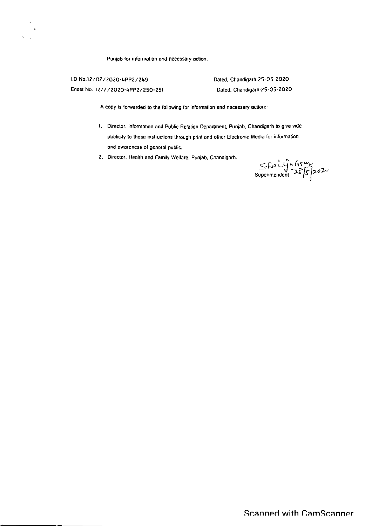Punjab for information and necessary action.

I.D No.12/07/2020-4PP2/249 Endst No. 12/7/2020-4PP2/250-251 Dated, Chandigarh: 25-05-2020 Dated, Chandigarh:25-05-2020

A copy is forwarded to the following for information and necessary action:-

- 1. Director, information and Public Relation Department, Punjab, Chandigarh to give vide publicity to these instructions through print and other Electronic Media for information and awareness of general public.
- 2. Director, Health and Family Welfare, Punjab, Chandigarh.

 $S$  faily 4 (75 m)<br>Superintendent  $25/5/2020$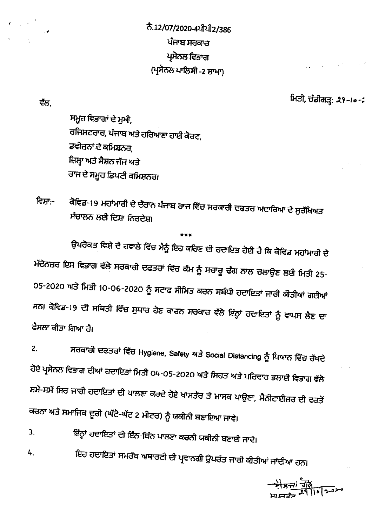ਨੈ.12/07/2020-4ਪੀਪੀ2/386 ਪੰਜਾਬ ਸਰਕਾਰ ਪ੍ਰਸੋਨਲ ਵਿਭਾਗ (ਪ੍ਰਸੋਨਲ ਪਾਲਿਸੀ -2 ਸ਼ਾਖਾ)

ਵੱਲ.

ਮਿਤੀ, ਚੰਡੀਗੜ੍ਹ: 29-10-2

ਸਮੂਹ ਵਿਭਾਗਾਂ ਦੇ ਮੁਖੀ, ਰਜਿਸਟਰਾਰ, ਪੰਜਾਬ ਅਤੇ ਹਰਿਆਣਾ ਹਾਈ ਕੋਰਟ, ਡਵੀਜ਼ਨਾਂ ਦੇ ਕਮਿਸ਼ਨਰ, ਜ਼ਿਲ੍ਹਾ ਅਤੇ ਸੈਸ਼ਨ ਜੱਜ ਅਤੇ ਰਾਜ ਦੇ ਸਮੂਹ ਡਿਪਟੀ ਕਮਿਸ਼ਨਰ।

ਕੋਵਿਡ-19 ਮਹਾਂਮਾਰੀ ਦੇ ਦੇਰਾਨ ਪੰਜਾਬ ਰਾਜ ਵਿੱਚ ਸਰਕਾਰੀ ਦਫਤਰ ਅਦਾਰਿਆ ਦੇ ਸੁਰੱਖਿਅਤ ਵਿਸਾ:-ਸੰਚਾਲਨ ਲਈ ਦਿਸ਼ਾ ਨਿਰਦੇਸ਼।

ਉਪਰੋਕਤ ਵਿਸ਼ੇ ਦੇ ਹਵਾਲੇ ਵਿੱਚ ਮੈਨੂੰ ਇਹ ਕਹਿਣ ਦੀ ਹਦਾਇਤ ਹੋਈ ਹੈ ਕਿ ਕੋਵਿਡ ਮਹਾਂਮਾਰੀ ਦੇ ਮੱਦੇਨਜ਼ਰ ਇਸ ਵਿਭਾਗ ਵੱਲੋ ਸਰਕਾਰੀ ਦਫਤਰਾਂ ਵਿੱਚ ਕੰਮ ਨੂੰ ਸਚਾਰੂ ਢੰਗ ਨਾਲ ਚਲਾਉਣ ਲਈ ਮਿਤੀ 25-05-2020 ਅਤੇ ਮਿਤੀ 10-06-2020 ਨੂੰ ਸਟਾਫ ਸੀਮਿਤ ਕਰਨ ਸਬੰਧੀ ਹਦਾਇਤਾਂ ਜਾਰੀ ਕੀਤੀਆਂ ਗਈਆਂ ਸਨ। ਕੋਵਿਡ-19 ਦੀ ਸਥਿਤੀ ਵਿੱਚ ਸੁਧਾਰ ਹੋਣ ਕਾਰਨ ਸਰਕਾਰ ਵੱਲੋ ਇੰਨ੍ਹਾਂ ਹਦਾਇਤਾਂ ਨੂੰ ਵਾਪਸ ਲੈਣ ਦਾ ਫੈਸਲਾ ਕੀਤਾ ਗਿਆ ਹੈ।

ਸਰਕਾਰੀ ਦਫਤਰਾਂ ਵਿੱਚ Hygiene, Safety ਅਤੇ Social Distancing ਨੂੰ ਧਿਆਨ ਵਿੱਚ ਰੱਖਦੇ  $2.$ ਹੋਏ ਪ੍ਰਸੋਨਲ ਵਿਭਾਗ ਦੀਆਂ ਹਦਾਇਤਾਂ ਮਿਤੀ 04-05-2020 ਅਤੇ ਸਿਹਤ ਅਤੇ ਪਰਿਵਾਰ ਭਲਾਈ ਵਿਭਾਗ ਵੱਲੋ ਸਮੇਂ-ਸਮੇਂ ਸਿਰ ਜਾਰੀ ਹਦਾਇਤਾਂ ਦੀ ਪਾਲਣਾ ਕਰਦੇ ਹੋਏ ਖਾਸਤੌਰ ਤੇ ਮਾਸਕ ਪਾਉਣਾ, ਸੈਨੀਟਾਈਜ਼ਰ ਦੀ ਵਰਤੋਂ ਕਰਨਾ ਅਤੇ ਸਮਾਜਿਕ ਦੂਰੀ (ਘੱਟੋ-ਘੱਟ 2 ਮੀਟਰ) ਨੂੰ ਯਕੀਨੀ ਬਣਾਇਆ ਜਾਵੇ।

ਇੰਨ੍ਹਾਂ ਹਦਾਇਤਾਂ ਦੀ ਇੰਨ-ਬਿੰਨ ਪਾਲਣਾ ਕਰਨੀ ਯਕੀਨੀ ਬਣਾਈ ਜਾਵੇ।  $3.$ 

ਇਹ ਹਦਾਇਤਾਂ ਸਮਰੱਥ ਅਥਾਰਟੀ ਦੀ ਪ੍ਰਵਾਨਗੀ ਉਪਰੰਤ ਜਾਰੀ ਕੀਤੀਆਂ ਜਾਂਦੀਆ ਹਨ। 4.

 $\frac{1}{2}$  373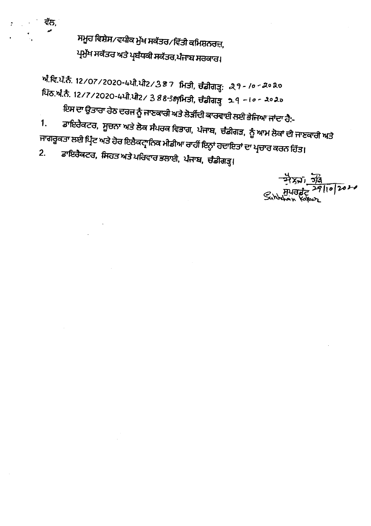ਸਮੂਹ ਵਿਸ਼ੇਸ∕ਵਧੀਕ ਮੁੱਖ ਸਕੱਤਰ∕ਵਿੱਤੀ ਕਮਿਸ਼ਨਰਜ਼, ਪ੍ਰਮੁੱਖ ਸਕੱਤਰ ਅਤੇ ਪ੍ਰਬੰਧਕੀ ਸਕੱਤਰ,ਪੰਜਾਬ ਸਰਕਾਰ।

ਵੱਲ,

ਅੰਵਿ.ਪੱ.ਨੈ. 12/07/2020-4ਪੀ.ਪੀ2/387 ਮਿਤੀ, ਚੰਡੀਗੜ੍ਹ: 29-10-2020 ਪਿੱਠ.ਅੰ.ਨੈ. 12/7/2020-4ਪੀ.ਪੀ2/ 3 88-389ਮਿਤੀ, ਚੰਡੀਗੜ੍ਹ 29 -10-2020

ਇਸ ਦਾ ਉਤਾਰਾ ਹੇਠ ਦਰਜ ਨੂੰ ਜਾਣਕਾਰੀ ਅਤੇ ਲੋੜੀਂਦੀ ਕਾਰਵਾਈ ਲਈ ਭੇਜਿਆ ਜਾਂਦਾ ਹੈ:-

ਡਾਇਰੈਕਟਰ, ਸੂਚਨਾ ਅਤੇ ਲੋਕ ਸੰਪਰਕ ਵਿਭਾਗ, ਪੰਜਾਬ, ਚੰਡੀਗੜ, ਨੂੰ ਆਮ ਲੋਕਾਂ ਦੀ ਜਾਣਕਾਰੀ ਅਤੇ  $1<sub>1</sub>$ ਜਾਗਰੂਕਤਾ ਲਈ ਪ੍ਰਿੰਟ ਅਤੇ ਹੋਰ ਇਲੈਕਟ੍ਰਾਨਿਕ ਮੀਡੀਆ ਰਾਹੀਂ ਇਨ੍ਹਾਂ ਹਦਾਇਤਾਂ ਦਾ ਪ੍ਰਚਾਰ ਕਰਨ ਹਿੱਤ। ਡਾਇਰੈਕਟਰ, ਸਿਹਤ ਅਤੇ ਪਰਿਵਾਰ ਭਲਾਈ, ਪੰਜਾਬ, ਚੰਡੀਗੜ੍ਹ।  $2.$ 

 $\frac{77.56}{27.10}$ Sunhalon Kamp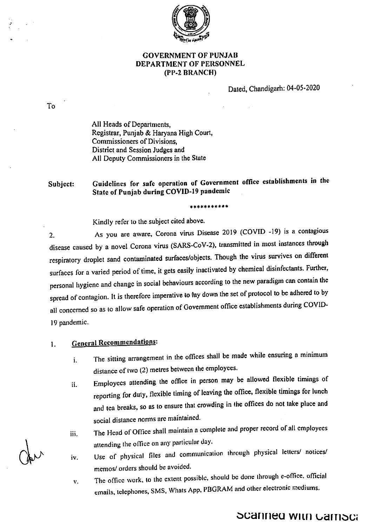

## **GOVERNMENT OF PUNJAB** DEPARTMENT OF PERSONNEL (PP-2 BRANCH)

Dated, Chandigarh: 04-05-2020

 $To$ 

All Heads of Departments, Registrar, Punjab & Harvana High Court, Commissioners of Divisions. District and Session Judges and All Deputy Commissioners in the State

Guidelines for safe operation of Government office establishments in the Subject: State of Punjab during COVID-19 pandemic

\*\*\*\*\*\*\*\*\*\*\*

Kindly refer to the subject cited above.

As you are aware, Corona virus Disease 2019 (COVID -19) is a contagious  $2.$ disease caused by a novel Corona virus (SARS-CoV-2), transmitted in most instances through respiratory droplet sand contaminated surfaces/objects. Though the virus survives on different surfaces for a varied period of time, it gets easily inactivated by chemical disinfectants. Further, personal hygiene and change in social behaviours according to the new paradigm can contain the spread of contagion. It is therefore imperative to lay down the set of protocol to be adhered to by all concerned so as to allow safe operation of Government office establishments during COVID-19 pandemic.

### **General Recommendations:**  $\mathbf{I}$ .

- The sitting arrangement in the offices shall be made while ensuring a minimum i. distance of two (2) metres between the employees.
- Employees attending the office in person may be allowed flexible timings of ii. reporting for duty, flexible timing of leaving the office, flexible timings for lunch and tea breaks, so as to ensure that crowding in the offices do not take place and social distance norms are maintained.
- The Head of Office shall maintain a complete and proper record of all employees iii. attending the office on any particular day.
- Use of physical files and communication through physical letters/ notices/ iv. memos/ orders should be avoided.
- The office work, to the extent possible, should be done through e-office, official v. emails, telephones, SMS, Whats App, PBGRAM and other electronic mediums.

**Scanned with Gamsca**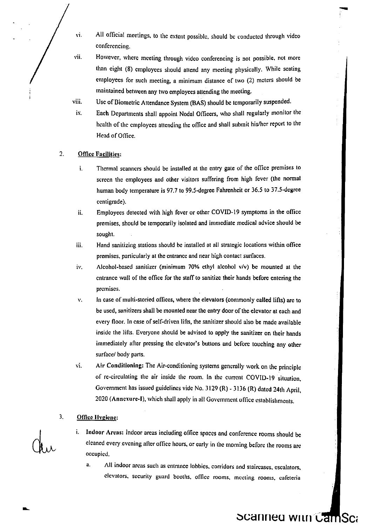- vi. All official meetings, to the extent possible, should be conducted through video conferencing.
- vii. However, where meeting through video conferencing is not possible, not more than eight (8) employees should attend any meeting physically. While seating employees for such meeting, a minimum distance of two (2) meters should be maintained between any two employees attending the meeting.
- Use of Biometric Attendance System (BAS) should be temporarily suspended. viii.
- Each Departments shall appoint Nodal Officers, who shall regularly monitor the health of the employees attending the office and shall submit his/her report to the Head of Office. lx.

### $\overline{2}$ **Office Facilities:**

- i. Thermal scanners should be installed at the entry gate of the office premises to screen the employees and other visitors suffering from high fever (the normal human body temperature is 97.7 to 99.5-degree Fahrenheit or 36.5 to 37.5-degree centigrade).
- ii. Employees detected with high fever or other COVID-19 symptoms in the office premises, should be temporarily isolated and immediate medical advice should be sought.
- iii. Hand sanitizing stations should be installed at all strategic locations within office premises, particularly at the entrance and near high contact surfaces.
- iv. Alcohol-based sanitizer (minimum 70% ethyl alcohol  $v/v$ ) be mounted at the entrance wall of the office for the staff to sanitize their hands before entering the prcmises.
- v. In case of multi-storied offices, where the elevators (commonly called lifts) are to be used, sanitizers shall be mounted near the entry door of the elevator at each and every floor. In case of self-driven lifts, the sanitizer should also be made available insidc the lifts. Everyone should be adviscd to apply the sanitizer on their hands immediately after prcssing the clevalor's buttons and before touching any other surface/ body parts.
- vi. Air Conditioning: The Air-conditioning systems generally work on the principle of re-circulating the air inside the room. In the current COVID-19 situation, Government has issued guidelines vide No. 3129 (R) - 3136 (R) dated 24th April, 2020 (Annexure-I), which shall apply in all Government office establishments.

### Office Hygiene: 3.

- i. Indoor Arcas: Indoor areas including office spaces and conference rooms should be cleaned every evening after office hours, or early in the morning before the rooms are occupicd,
	- a. All indoor areas such as entrance lobbies, corridors and staircases, escalators, clevators, security guard booths, office rooms, meeting rooms, cafeteria

## Scanned with CamSca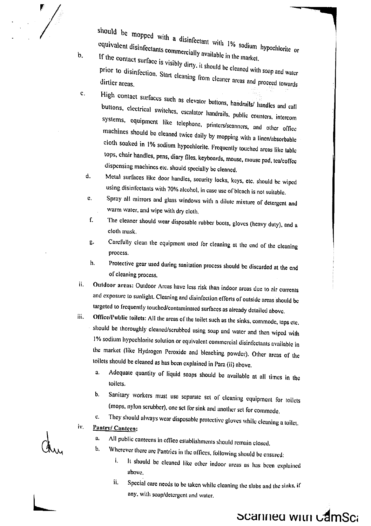$\mathbf b$ .

 $\mathbf{c}$ .

should be mopped with a disinfectant with 1% sodium hypochlorite or equivalent disinfectants commercially available in the market.

If the contact surface is visibly dirty, it should be cleaned with soap and water prior to disinfection. Start cleaning from cleaner areas and proceed towards

High contact surfaces such as elevator buttons, handrails/ handles and call buttons, electrical switches, escalator handrails, public counters, intercom systems, equipment like telephone, printers/seanners, and other office machines should be cleaned twice daily by mopping with a linen/absorbable cloth soaked in 1% sodium hypochlorite. Frequently touched areas like table tops, chair handles, pens, diary files, keyboards, mouse, mouse pad, tea/coffee dispensing machines etc. should specially be cleaned.

Metal surfaces like door handles, security locks, keys, etc. should be wiped  $\mathbf{d}$ . using disinfectants with 70% alcohol, in case use of bleach is not suitable.

- Spray all mirrors and glass windows with a dilute mixture of detergent and  $\mathbf{c}$ . warm water, and wipe with dry cloth.
- The cleaner should wear disposable rubber boots, gloves (heavy duty), and a f. cloth mask.
- Carefully clean the equipment used for cleaning at the end of the cleaning  $B$ . process.
- Protective gear used during sanitation process should be discarded at the end h. of cleaning process.
- Outdoor areas: Outdoor Areas have less risk than indoor areas due to air currents ii. and exposure to sunlight. Cleaning and disinfection efforts of outside areas should be targeted to frequently touched/contaminated surfaces as already detailed above.
- Office/Public toilets: All the areas of the toilet such as the sinks, commode, taps etc. iii. should be thoroughly cleaned/scrubbed using soap and water and then wiped with 1% sodium hypochlorite solution or equivalent commercial disinfectants available in the market (like Hydrogen Peroxide and bleaching powder). Other areas of the toilets should be cleaned as has been explained in Para (ii) above.
	- Adequate quantity of liquid soaps should be available at all times in the ā. toilets.
	- Sanitary workers must use separate set of cleaning equipment for toilets  $\mathbf{b}$ . (mops, nylon serubber), one set for sink and another set for commode.
	- They should always wear disposable protective gloves while cleaning a toilet.  $\mathfrak{c}$ .
- iv. Pantry/ Canteen:
	- All public canteens in office establishments should remain closed. a,
	- Wherever there are Pantries in the offices, following should be ensured: b.
		- i. It should be cleaned like other indoor areas as has been explained above
		- Special care needs to be taken while cleaning the slabs and the sinks, if ii. any, with soap/detergent and water.

Scanned with camSca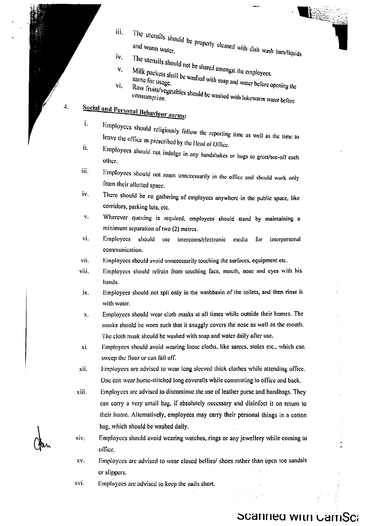- The utensils should be properly cleaned with dish wash bars/liquids iii.
	- İν,
	- The utensils should not be shared amongst the employees. v,
	-
	- Milk packets shall be washed with soap and water before opening the Raw fruits/vegetables should be washed with lukewarm water before vi.

## **Social and Personal Behaviour norms:**

 $\boldsymbol{4}$ .

í.

- Employees should religiously follow the reporting time as well as the time to leave the office as prescribed by the Head of Office. ii.
- Employees should not indulge in any handshakes or hugs to greet/see-off each other.
- iii. Employees should not roam unnecessarily in the office and should work only from their allotted space.
- iv. There should be no gathering of employees anywhere in the public space, like corridors, parking lots, etc.
- v. Wherever queuing is required, employees should stand by maintaining a minimum separation of two (2) metres.
- vi. Employees should use intercoms/electronic media for interpersonal communication.
- vii. Employees should avoid unnecessarily touching the surfaces, equipment etc.
- viii. Employees should refrain from touching face, mouth, nose and eyes with his hands.
- ix. Employees should not spit only in the washbasin of the toilets, and then rinse it with water.
- Employees should wear cloth masks at all times while outside their homes. The  $\mathbf{x}$ . masks should be worn such that it snuggly covers the nose as well as the mouth. The cloth mask should be washed with soap and water daily after use.
- Employees should avoid wearing loose cloths, like sarees, stoles etc., which can xi. sweep the floor or can fall off.
- xii. Employees are advised to wear long sleeved thick clothes while attending office. One can wear home-stitched long coveralls while commuting to office and back.
- Employees are advised to discontinue the use of leather purse and handbags. They xiii. can carry a very small bag, if absolutely necessary and disinfect it on return to their home. Alternatively, employees may carry their personal things in a cotton bag, which should be washed daily.
- $X_1V$ . Employees should avoid wearing watches, rings or any jewellery while coming to office.
- XV. Employees are advised to wear closed bellies/ shoes rather than open toe sandals or slippers.
- xvi. Employees are advised to keep the nails short.

## **Scanned with GamSca**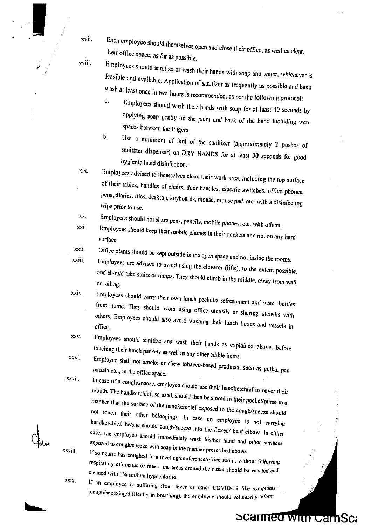Each employee should themselves open and close their office, as well as clean their office space, as far as possible.

xviii.

xix.

 $XX$ .

xvii.

Employees should sanitize or wash their hands with soap and water, whichever is feasible and available. Application of sanitizer as frequently as possible and hand wash at least once in two-hours is recommended, as per the following protocol:

Employees should wash their hands with soap for at least 40 seconds by applying soap gently on the palm and back of the hand including web spaces between the fingers.

b. Use a minimum of 3ml of the sanitizer (approximately 2 pushes of sanitizer dispenser) on DRY HANDS for at least 30 seconds for good hygienic hand disinfection.

Employees advised to themselves clean their work area, including the top surface of their tables, handles of chairs, door handles, electric switches, office phones, pens, diaries, files, desktop, keyboards, mouse, mouse pad. etc. with a disinfecting wipe prior to use.

Employees should not share pens, pencils, mobile phones, etc. with others. xxi.

Employees should keep their mobile phones in their pockets and not on any hard surface. xxii.

Office plants should be kept outside in the open space and not inside the rooms. xxiii.

Employees are advised to avoid using the elevator (lifts), to the extent possible, and should take stairs or ramps. They should climb in the middle, away from wall or railing. xxiv.

- Employees should carry their own lunch packets/ refreshment and water bottles from home. They should avoid using office utensils or sharing utensils with others. Employees should also avoid washing their lunch boxes and vessels in office. XXV.
- Employees should sanitize and wash their hands as explained above, before touching their lunch packets as well as any other edible items. xxvi.

Employee shall not smoke or chew tobacco-based products, such as gutka, pan masala etc., in the office space. xxvii.

In case of a cough/sneeze, employee should use their handkerchief to cover their mouth. The handkerchief, so used, should then be stored in their pocket/purse in a manner that the surface of the handkerchief exposed to the cough/sneeze should not touch their other belongings. In case an employee is not carrying handkerchief, he/she should cough/sneeze into the flexed/ bent elbow. In cither case, the employee should immediately wash his/her hand and other surfaces exposed to cough/sneeze with soap in the manner prescribed above.

If someone has coughed in a meeting/conference/office room, without following respiratory etiquettes or mask, the areas around their seat should be vacated and cleaned with 1% sodium hypochlorite.

If an employee is suffering from fever or other COVID-19 like symptoms (cough/sneezing/difficulty in breathing), the employee should voluntarily inform

Scarmed with CamSca

xxviji.

xxix.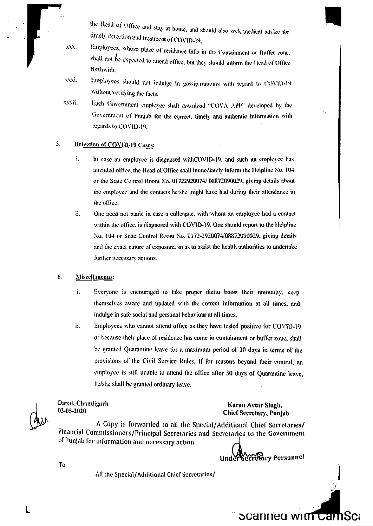the Head of Office and stay at home, and should also seek medical advice for timely detection and treatment of COVID-19.

- Employees, whose place of residence falls in the Containment or Buffer zone.  $XX$ shall not be expected to attend office, but they should inform the Head of Office forthwith.
- XXXI. Employees should not indulge in gossip/rumours with regard to COVID-19 without verifying the facts,
- xxxii. Each Government employee shall download "COVA APP" developed by the Government of Punjab for the correct, timely and authentic information with regards to COVID-19.

### $\mathcal{S}_{\mathcal{S}}$ Detection of COVID-19 Cases:

- ì. In case an employee is diagnosed withCOVID-19, and such an employee has attended office, the Head of Office shall immediately inform the Helpline No. 104 or the State Control Room No. 01722920074/08872090029, giving details about the employee and the contacts he'she might have had during their attendance in the office.
- ü. One need not panic in case a colleague, with whom an employee had a contact within the office, is diagnosed with COVID-19. One should report to the Helpline No. 104 or State Control Room No. 0172-2920074/08872090029, giving details and the exact nature of exposure, so as to assist the health authorities to undertake further necessary actions.

### 6, Miseellaneous:

- ì. Everyone is encouraged to take proper dietto boost their immunity, keep themselves aware and updated with the correct information at all times, and indulge in safe social and personal behaviour at all times.
- ii. Employees who cannot attend office as they have tested positive for COVID-19 or because their place of residence has come in containment or buffer zone, shall be granted Quarantine leave for a maximum period of 30 days in terms of the provisions of the Civil Service Rules. If for reasons beyond their control, an employee is still unable to attend the office after 30 days of Quarantine leave, he/she shall be granted ordinary leave.

Dated, Chandigarh 03-05-2020

To

### Karan Avtar Singh, Chief Secretary, Punjab

A Copy is forwarded to all the Special/Additional Chief Secretaries/ Financial Commissioners/Principal Secretaries and Secretaries to the Government of Punjab for information and necessary action.

Under Secretary Personnel

Scanned wit<del>h Cam</del>Sca

All the Special/Additional Chief Secretaries/